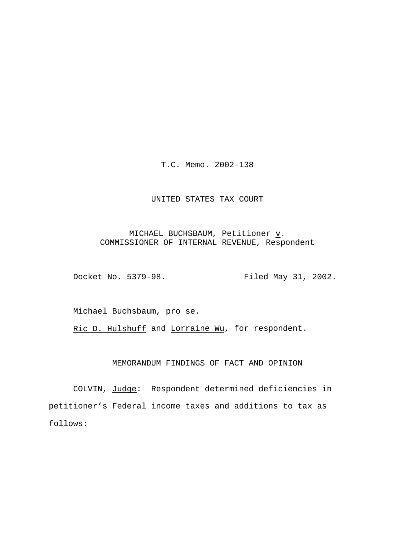T.C. Memo. 2002-138

## UNITED STATES TAX COURT

# MICHAEL BUCHSBAUM, Petitioner  $\underline{v}$ . COMMISSIONER OF INTERNAL REVENUE, Respondent

Docket No. 5379-98. Filed May 31, 2002.

Michael Buchsbaum, pro se.

Ric D. Hulshuff and Lorraine Wu, for respondent.

## MEMORANDUM FINDINGS OF FACT AND OPINION

COLVIN, Judge: Respondent determined deficiencies in petitioner's Federal income taxes and additions to tax as follows: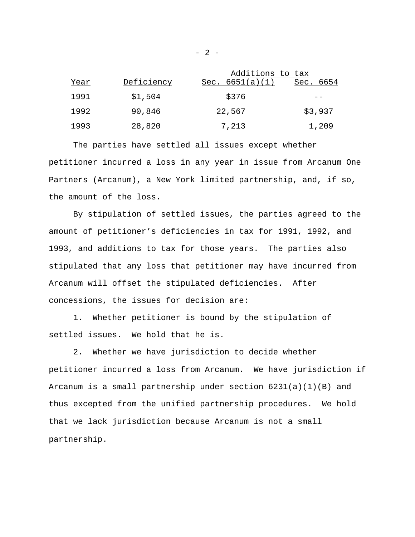|      |            | Additions to tax  |              |
|------|------------|-------------------|--------------|
| Year | Deficiency | Sec. $6651(a)(1)$ | 6654<br>Sec. |
| 1991 | \$1,504    | \$376             |              |
| 1992 | 90,846     | 22,567            | \$3,937      |
| 1993 | 28,820     | 7,213             | 1,209        |

The parties have settled all issues except whether petitioner incurred a loss in any year in issue from Arcanum One Partners (Arcanum), a New York limited partnership, and, if so, the amount of the loss.

By stipulation of settled issues, the parties agreed to the amount of petitioner's deficiencies in tax for 1991, 1992, and 1993, and additions to tax for those years. The parties also stipulated that any loss that petitioner may have incurred from Arcanum will offset the stipulated deficiencies. After concessions, the issues for decision are:

1. Whether petitioner is bound by the stipulation of settled issues. We hold that he is.

2. Whether we have jurisdiction to decide whether petitioner incurred a loss from Arcanum. We have jurisdiction if Arcanum is a small partnership under section  $6231(a)(1)(B)$  and thus excepted from the unified partnership procedures. We hold that we lack jurisdiction because Arcanum is not a small partnership.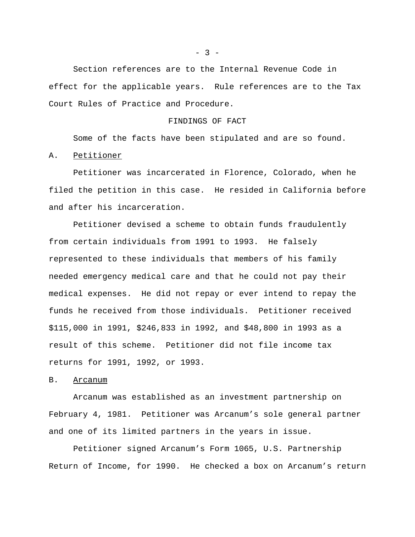Section references are to the Internal Revenue Code in effect for the applicable years. Rule references are to the Tax Court Rules of Practice and Procedure.

## FINDINGS OF FACT

Some of the facts have been stipulated and are so found.

A. Petitioner

Petitioner was incarcerated in Florence, Colorado, when he filed the petition in this case. He resided in California before and after his incarceration.

Petitioner devised a scheme to obtain funds fraudulently from certain individuals from 1991 to 1993. He falsely represented to these individuals that members of his family needed emergency medical care and that he could not pay their medical expenses. He did not repay or ever intend to repay the funds he received from those individuals. Petitioner received \$115,000 in 1991, \$246,833 in 1992, and \$48,800 in 1993 as a result of this scheme. Petitioner did not file income tax returns for 1991, 1992, or 1993.

## B. Arcanum

Arcanum was established as an investment partnership on February 4, 1981. Petitioner was Arcanum's sole general partner and one of its limited partners in the years in issue.

Petitioner signed Arcanum's Form 1065, U.S. Partnership Return of Income, for 1990. He checked a box on Arcanum's return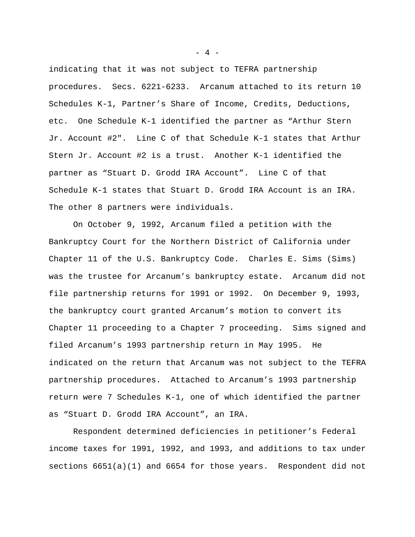indicating that it was not subject to TEFRA partnership procedures. Secs. 6221-6233. Arcanum attached to its return 10 Schedules K-1, Partner's Share of Income, Credits, Deductions, etc. One Schedule K-1 identified the partner as "Arthur Stern Jr. Account #2". Line C of that Schedule K-1 states that Arthur Stern Jr. Account #2 is a trust. Another K-1 identified the partner as "Stuart D. Grodd IRA Account". Line C of that Schedule K-1 states that Stuart D. Grodd IRA Account is an IRA. The other 8 partners were individuals.

On October 9, 1992, Arcanum filed a petition with the Bankruptcy Court for the Northern District of California under Chapter 11 of the U.S. Bankruptcy Code. Charles E. Sims (Sims) was the trustee for Arcanum's bankruptcy estate. Arcanum did not file partnership returns for 1991 or 1992. On December 9, 1993, the bankruptcy court granted Arcanum's motion to convert its Chapter 11 proceeding to a Chapter 7 proceeding. Sims signed and filed Arcanum's 1993 partnership return in May 1995. He indicated on the return that Arcanum was not subject to the TEFRA partnership procedures. Attached to Arcanum's 1993 partnership return were 7 Schedules K-1, one of which identified the partner as "Stuart D. Grodd IRA Account", an IRA.

Respondent determined deficiencies in petitioner's Federal income taxes for 1991, 1992, and 1993, and additions to tax under sections 6651(a)(1) and 6654 for those years. Respondent did not

- 4 -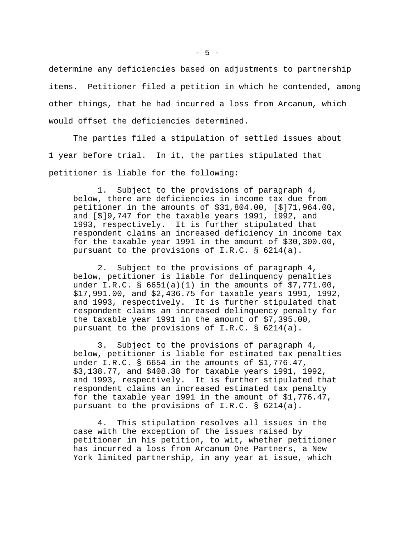determine any deficiencies based on adjustments to partnership items. Petitioner filed a petition in which he contended, among other things, that he had incurred a loss from Arcanum, which would offset the deficiencies determined.

The parties filed a stipulation of settled issues about 1 year before trial. In it, the parties stipulated that petitioner is liable for the following:

1. Subject to the provisions of paragraph 4, below, there are deficiencies in income tax due from petitioner in the amounts of \$31,804.00, [\$]71,964.00, and [\$]9,747 for the taxable years 1991, 1992, and 1993, respectively. It is further stipulated that respondent claims an increased deficiency in income tax for the taxable year 1991 in the amount of \$30,300.00, pursuant to the provisions of I.R.C. § 6214(a).

2. Subject to the provisions of paragraph 4, below, petitioner is liable for delinquency penalties under I.R.C. § 6651(a)(1) in the amounts of \$7,771.00, \$17,991.00, and \$2,436.75 for taxable years 1991, 1992, and 1993, respectively. It is further stipulated that respondent claims an increased delinquency penalty for the taxable year 1991 in the amount of \$7,395.00, pursuant to the provisions of I.R.C. § 6214(a).

3. Subject to the provisions of paragraph 4, below, petitioner is liable for estimated tax penalties under I.R.C. § 6654 in the amounts of \$1,776.47, \$3,138.77, and \$408.38 for taxable years 1991, 1992, and 1993, respectively. It is further stipulated that respondent claims an increased estimated tax penalty for the taxable year 1991 in the amount of \$1,776.47, pursuant to the provisions of I.R.C. § 6214(a).

4. This stipulation resolves all issues in the case with the exception of the issues raised by petitioner in his petition, to wit, whether petitioner has incurred a loss from Arcanum One Partners, a New York limited partnership, in any year at issue, which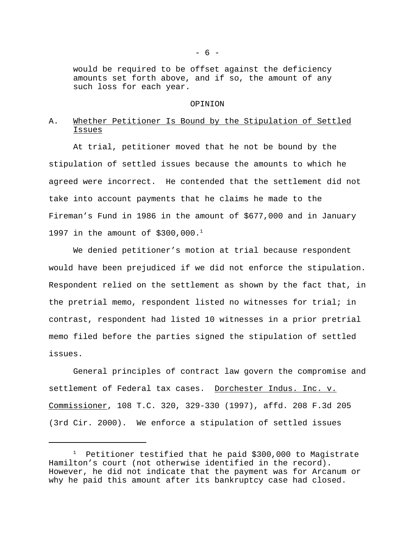would be required to be offset against the deficiency amounts set forth above, and if so, the amount of any such loss for each year.

#### OPINION

# A. Whether Petitioner Is Bound by the Stipulation of Settled Issues

At trial, petitioner moved that he not be bound by the stipulation of settled issues because the amounts to which he agreed were incorrect. He contended that the settlement did not take into account payments that he claims he made to the Fireman's Fund in 1986 in the amount of \$677,000 and in January 1997 in the amount of  $$300,000.<sup>1</sup>$ 

We denied petitioner's motion at trial because respondent would have been prejudiced if we did not enforce the stipulation. Respondent relied on the settlement as shown by the fact that, in the pretrial memo, respondent listed no witnesses for trial; in contrast, respondent had listed 10 witnesses in a prior pretrial memo filed before the parties signed the stipulation of settled issues.

General principles of contract law govern the compromise and settlement of Federal tax cases. Dorchester Indus. Inc. v. Commissioner, 108 T.C. 320, 329-330 (1997), affd. 208 F.3d 205 (3rd Cir. 2000). We enforce a stipulation of settled issues

 $1$  Petitioner testified that he paid \$300,000 to Magistrate Hamilton's court (not otherwise identified in the record). However, he did not indicate that the payment was for Arcanum or why he paid this amount after its bankruptcy case had closed.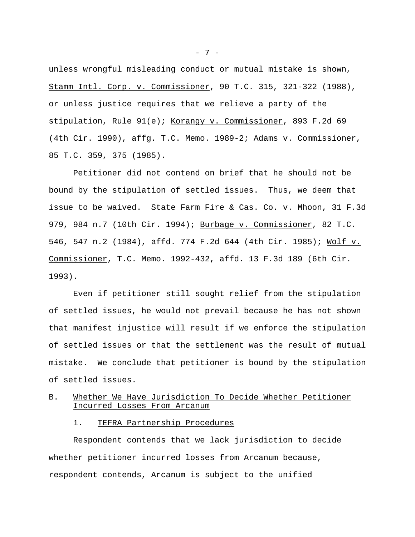unless wrongful misleading conduct or mutual mistake is shown, Stamm Intl. Corp. v. Commissioner, 90 T.C. 315, 321-322 (1988), or unless justice requires that we relieve a party of the stipulation, Rule 91(e); Korangy v. Commissioner, 893 F.2d 69 (4th Cir. 1990), affg. T.C. Memo. 1989-2; Adams v. Commissioner, 85 T.C. 359, 375 (1985).

Petitioner did not contend on brief that he should not be bound by the stipulation of settled issues. Thus, we deem that issue to be waived. State Farm Fire & Cas. Co. v. Mhoon, 31 F.3d 979, 984 n.7 (10th Cir. 1994); Burbage v. Commissioner, 82 T.C. 546, 547 n.2 (1984), affd. 774 F.2d 644 (4th Cir. 1985); Wolf v. Commissioner, T.C. Memo. 1992-432, affd. 13 F.3d 189 (6th Cir. 1993).

Even if petitioner still sought relief from the stipulation of settled issues, he would not prevail because he has not shown that manifest injustice will result if we enforce the stipulation of settled issues or that the settlement was the result of mutual mistake. We conclude that petitioner is bound by the stipulation of settled issues.

# B. Whether We Have Jurisdiction To Decide Whether Petitioner Incurred Losses From Arcanum

1. TEFRA Partnership Procedures

Respondent contends that we lack jurisdiction to decide whether petitioner incurred losses from Arcanum because, respondent contends, Arcanum is subject to the unified

 $- 7 -$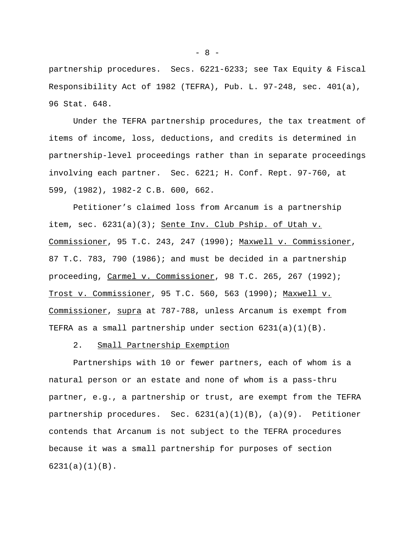partnership procedures. Secs. 6221-6233; see Tax Equity & Fiscal Responsibility Act of 1982 (TEFRA), Pub. L. 97-248, sec. 401(a), 96 Stat. 648.

Under the TEFRA partnership procedures, the tax treatment of items of income, loss, deductions, and credits is determined in partnership-level proceedings rather than in separate proceedings involving each partner. Sec. 6221; H. Conf. Rept. 97-760, at 599, (1982), 1982-2 C.B. 600, 662.

Petitioner's claimed loss from Arcanum is a partnership item, sec.  $6231(a)(3)$ ; Sente Inv. Club Pship. of Utah v. Commissioner, 95 T.C. 243, 247 (1990); Maxwell v. Commissioner, 87 T.C. 783, 790 (1986); and must be decided in a partnership proceeding, Carmel v. Commissioner, 98 T.C. 265, 267 (1992); Trost v. Commissioner, 95 T.C. 560, 563 (1990); Maxwell v. Commissioner, supra at 787-788, unless Arcanum is exempt from TEFRA as a small partnership under section 6231(a)(1)(B).

#### 2. Small Partnership Exemption

Partnerships with 10 or fewer partners, each of whom is a natural person or an estate and none of whom is a pass-thru partner, e.g., a partnership or trust, are exempt from the TEFRA partnership procedures. Sec.  $6231(a)(1)(B)$ ,  $(a)(9)$ . Petitioner contends that Arcanum is not subject to the TEFRA procedures because it was a small partnership for purposes of section 6231(a)(1)(B).

 $- 8 -$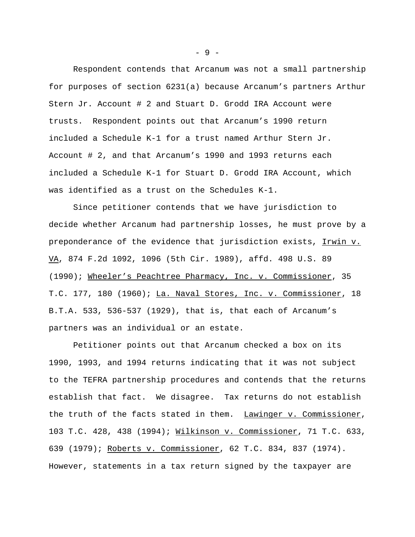Respondent contends that Arcanum was not a small partnership for purposes of section 6231(a) because Arcanum's partners Arthur Stern Jr. Account # 2 and Stuart D. Grodd IRA Account were trusts. Respondent points out that Arcanum's 1990 return included a Schedule K-1 for a trust named Arthur Stern Jr. Account # 2, and that Arcanum's 1990 and 1993 returns each included a Schedule K-1 for Stuart D. Grodd IRA Account, which was identified as a trust on the Schedules K-1.

Since petitioner contends that we have jurisdiction to decide whether Arcanum had partnership losses, he must prove by a preponderance of the evidence that jurisdiction exists, Irwin v. VA, 874 F.2d 1092, 1096 (5th Cir. 1989), affd. 498 U.S. 89 (1990); Wheeler's Peachtree Pharmacy, Inc. v. Commissioner, 35 T.C. 177, 180 (1960); La. Naval Stores, Inc. v. Commissioner, 18 B.T.A. 533, 536-537 (1929), that is, that each of Arcanum's partners was an individual or an estate.

Petitioner points out that Arcanum checked a box on its 1990, 1993, and 1994 returns indicating that it was not subject to the TEFRA partnership procedures and contends that the returns establish that fact. We disagree. Tax returns do not establish the truth of the facts stated in them. Lawinger v. Commissioner, 103 T.C. 428, 438 (1994); Wilkinson v. Commissioner, 71 T.C. 633, 639 (1979); Roberts v. Commissioner, 62 T.C. 834, 837 (1974). However, statements in a tax return signed by the taxpayer are

- 9 -